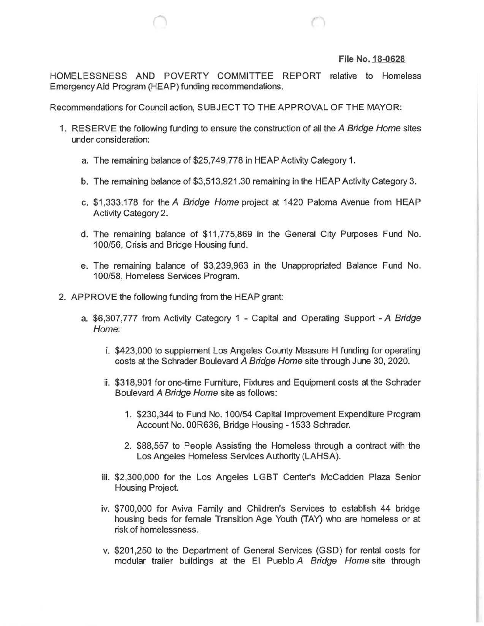## File No. 18-0628

HOMELESSNESS AND POVERTY COMMITTEE REPORT relative to Homeless Emergency Aid Program (HEAP) funding recommendations.

Recommendations for Council action, SUBJECT TO THE APPROVAL OF THE MAYOR:

- 1. RESERVE the following funding to ensure the construction of all the A Bridge Home sites under consideration:
	- a. The remaining balance of \$25,749,778 in HEAP Activity Category 1.
	- b. The remaining balance of \$3,513,921.30 remaining in the HEAP Activity Category 3.
	- c. \$1 ,333,178 for the A Bridge Home project at 1420 Paloma Avenue from HEAP Activity Category 2.
	- d. The remaining balance of \$11,775,869 in the General City Purposes Fund No. 100/56, Crisis and Bridge Housing fund.
	- e. The remaining balance of \$3,239,963 in the Unappropriated Balance Fund No. 100/58, Homeless Services Program.
- 2. APPROVE the following funding from the HEAP grant:
	- a. \$6,307,777 from Activity Category 1 Capital and Operating Support -A Bridge Home:
		- i. \$423,000 to supplement Los Angeles County Measure H funding for operating costs at the Schrader Boulevard A Bridge Home site through June 30, 2020.
		- ii. \$318,901 for one-time Furniture, Fixtures and Equipment costs at the Schrader Boulevard A Bridge Home site as follows:
			- 1. \$230,344 to Fund No. 100/54 Capital Improvement Expenditure Program Account No. OOR636, Bridge Housing - 1533 Schrader.
			- 2. \$88,557 to People Assisting the Homeless through a contract with the Los Angeles Homeless Services Authority (LAHSA).
		- iii. \$2,300,000 for the Los Angeles LGBT Center's McCadden Plaza Senior Housing Project.
		- iv. \$700,000 for Aviva Family and Children's Services to establish 44 bridge housing beds for female Transition Age Youth (TAY) who are homeless or at risk of homelessness.
		- v. \$201,250 to the Department of General Services (GSD) for rental costs for modular trailer buildings at the El Pueblo A Bridge Home site through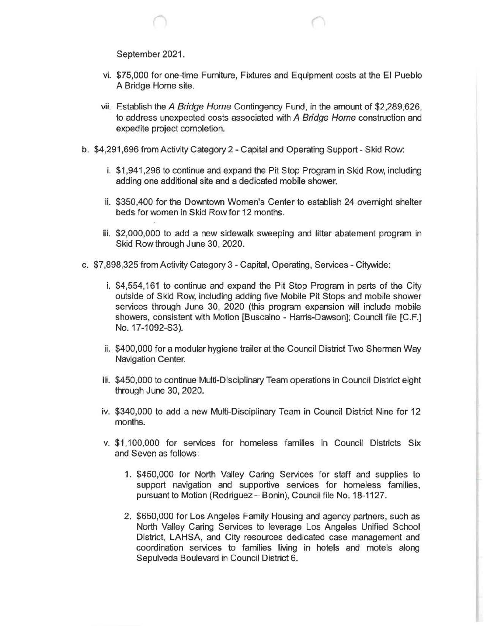September 2021.

- vi. \$75,000 for one-time Furniture, Fixtures and Equipment costs at the El Pueblo A Bridge Home site.
- vii. Establish the A Bridge Home Contingency Fund, in the amount of \$2,289,626, to address unexpected costs associated with A Bridge Home construction and expedite project completion.
- b. \$4,291,696 from Activity Category 2 Capital and Operating Support- Skid Row:
	- i. \$1 ,941 ,296 to continue and expand the Pit Stop Program in Skid Row, including adding one additional site and a dedicated mobile shower.
	- ii. \$350,400 for the Downtown Women's Center to establish 24 overnight shelter beds for women in Skid Row for 12 months.
	- iii. \$2,000,000 to add a new sidewalk sweeping and litter abatement program in Skid Row through June 30, 2020.
- c. \$7,898,325 from Activity Category 3- Capital, Operating, Services Citywide:
	- i. \$4,554,161 to continue and expand the Pit Stop Program in parts of the City outside of Skid Row, including adding five Mobile Pit Stops and mobile shower services through June 30, 2020 (this program expansion will include mobile showers, consistent with Motion [Buscaino - Harris-Dawson]; Council file [C.F.] No. 17-1092-S3).
	- ii. \$400,000 for a modular hygiene trailer at the Council District Two Sherman Way Navigation Center.
	- iii. \$450,000 to continue Multi-Disciplinary Team operations in Council District eight through June 30, 2020.
	- iv. \$340,000 to add a new Multi-Disciplinary Team in Council District Nine for 12 months.
	- v. \$1 ,100,000 for services for homeless families in Council Districts Six and Seven as follows:
		- 1. \$450,000 for North Valley Caring Services for staff and supplies to support navigation and supportive services for homeless families, pursuant to Motion (Rodriguez- Bonin), Council file No. 18-1127.
		- 2. \$650,000 for Los Angeles Family Housing and agency partners, such as North Valley Caring Services to leverage Los Angeles Unified School District, LAHSA, and City resources dedicated case management and coordination services to families living in hotels and motels along Sepulveda Boulevard in Council District 6.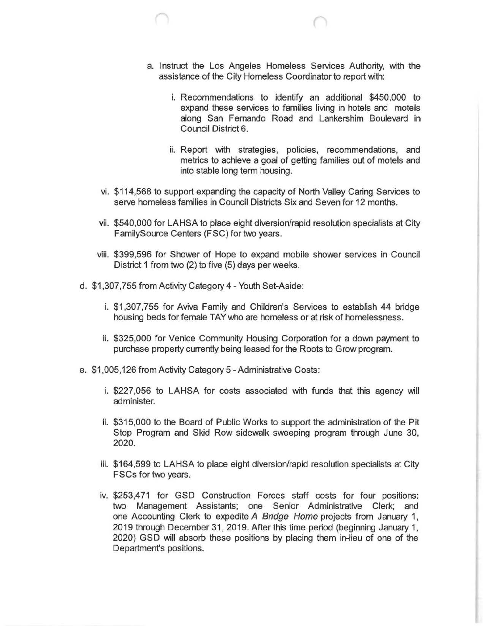- a. Instruct the Los Angeles Homeless Services Authority, with the assistance of the City Homeless Coordinator to report with:
	- i. Recommendations to identify an additional \$450,000 to expand these services to families living in hotels and motels along San Fernando Road and Lankershim Boulevard in Council District 6.
	- ii. Report with strategies, policies, recommendations, and metrics to achieve a goal of getting families out of motels and into stable long term housing.
- vi. \$114,568 to support expanding the capacity of North Valley Caring Services to serve homeless families in Council Districts Six and Seven for 12 months.
- vii. \$540,000 for LAHSA to place eight diversion/rapid resolution specialists at City FamilySource Centers (FSC) for two years.
- viii. \$399,596 for Shower of Hope to expand mobile shower services in Council District 1 from two (2) to five (5) days per weeks.
- d. \$1 ,307, 755 from Activity Category 4 Youth Set-Aside:
	- i. \$1,307,755 for Aviva Family and Children's Services to establish 44 bridge housing beds for female TAY who are homeless or at risk of homelessness.
	- ii. \$325,000 for Venice Community Housing Corporation for a down payment to purchase property currently being leased for the Roots to Grow program.
- e. \$1 ,005,126 from Activity Category 5 -Administrative Costs:
	- i. \$227,056 to LAHSA for costs associated with funds that this agency will administer.
	- ii. \$315,000 to the Board of Public Works to support the administration of the Pit Stop Program and Skid Row sidewalk sweeping program through June 30, 2020.
	- iii. \$164,599 to LAHSA to place eight diversion/rapid resolution specialists at City FSCs for two years.
	- iv. \$253,471 for GSD Construction Forces staff costs for four positions: two Management Assistants; one Senior Administrative Clerk; and one Accounting Clerk to expedite A Bridge Home projects from January 1, 2019 through December 31, 2019. After this time period (beginning January 1, 2020) GSD will absorb these positions by placing them in-lieu of one of the Department's positions.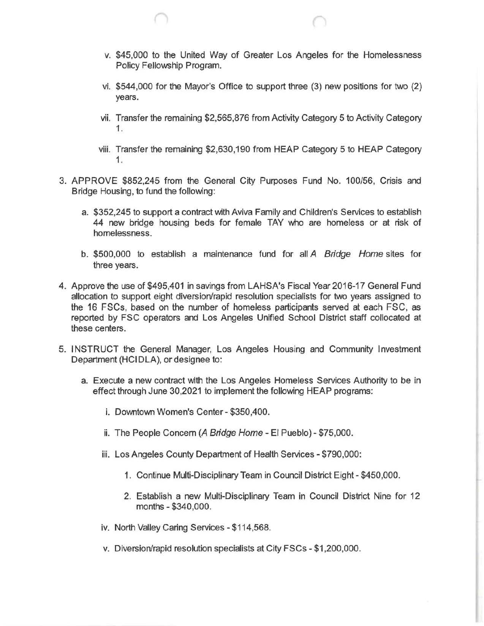- v. \$45,000 to the United Way of Greater Los Angeles for the Homelessness Policy Fellowship Program.
- vi. \$544,000 for the Mayor's Office to support three (3) new positions for two (2) years.
- vii. Transfer the remaining \$2,565,876 from Activity Category 5 to Activity Category 1.
- viii. Transfer the remaining \$2,630,190 from HEAP Category 5 to HEAP Category 1.
- 3. APPROVE \$852,245 from the General City Purposes Fund No. 100/56, Crisis and Bridge Housing, to fund the following:
	- a. \$352,245 to support a contract with Aviva Family and Children's Services to establish 44 new bridge housing beds for female TAY who are homeless or at risk of homelessness.
	- b. \$500,000 to establish a maintenance fund for all A Bridge Home sites for three years.
- 4. Approve the use of \$495,401 in savings from LAHSA's Fiscal Year 2016-17 General Fund allocation to support eight diversion/rapid resolution specialists for two years assigned to the 16 FSCs, based on the number of homeless participants served at each FSC, as reported by FSC operators and Los Angeles Unified School District staff collocated at these centers.
- 5. INSTRUCT the General Manager, Los Angeles Housing and Community Investment Department (HCIDLA), or designee to:
	- a. Execute a new contract with the Los Angeles Homeless Services Authority to be in effect through June 30,2021 to implement the following HEAP programs:
		- i. Downtown Women's Center- \$350,400.
		- ii. The People Concern (A Bridge Home El Pueblo) \$75,000.
		- iii. Los Angeles County Department of Health Services- \$790,000:
			- 1. Continue Multi-Disciplinary Team in Council District Eight- \$450,000.
			- 2. Establish a new Multi-Disciplinary Team in Council District Nine for 12 months- \$340,000.
		- iv. North Valley Caring Services- \$114,568.
		- v. Diversion/rapid resolution specialists at City FSCs- \$1 ,200,000.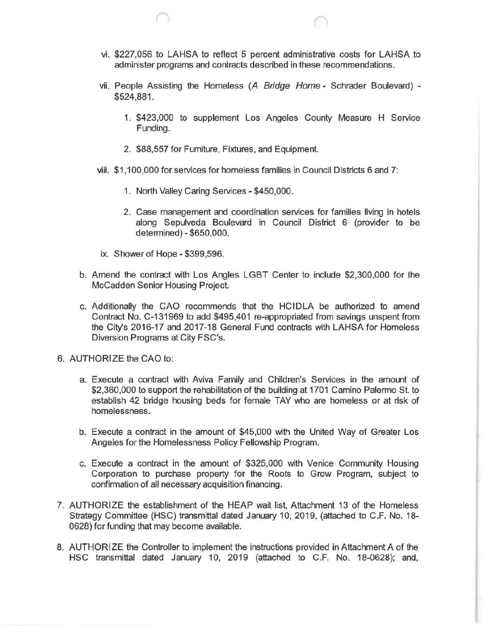- vi. \$227,056 to LAHSA to reflect 5 percent administrative costs for LAHSA to administer programs and contracts described in these recommendations.
- vii. People Assisting the Homeless  $(A \; Bridge \; Home Schrader Boulevant) -$ \$524,881.
	- 1. \$423,000 to supplement Los Angeles County Measure H Service Funding.
	- 2. \$88,557 for Furniture, Fixtures, and Equipment.
- viii. \$1,100,000 for services for homeless families in Council Districts 6 and 7:
	- 1. North Valley Caring Services- \$450,000.
	- 2. Case management and coordination services for families living in hotels along Sepulveda Boulevard in Council District 6 (provider to be determined)- \$650,000.
- ix. Shower of Hope- \$399,596.
- b. Amend the contract with Los Angles LGBT Center to include \$2,300,000 for the McCadden Senior Housing Project.
- c. Additionally the CAO recommends that the HCIDLA be authorized to amend Contract No. C-131969 to add \$495,401 re-appropriated from savings unspent from the City's 2016-17 and 2017-18 General Fund contracts with LAHSA for Homeless Diversion Programs at City FSC's.
- 6. AUTHORIZE the CAO to:
	- a. Execute a contract with Aviva Family and Children's Services in the amount of \$2,360,000 to support the rehabilitation of the building at 1701 Camino Palermo St. to establish 42 bridge housing beds for female TAY who are homeless or at risk of homelessness.
	- b. Execute a contract in the amount of \$45,000 with the United Way of Greater Los Angeles for the Homelessness Policy Fellowship Program.
	- c. Execute a contract in the amount of \$325,000 with Venice Community Housing Corporation to purchase property for the Roots to Grow Program, subject to confirmation of all necessary acquisition financing.
- 7. AUTHORIZE the establishment of the HEAP wait list, Attachment 13 of the Homeless Strategy Committee (HSC) transmittal dated January 10, 2019, (attached to C.F. No. 18- 0628) for funding that may become available.
- 8. AUTHORIZE the Controller to implement the instructions provided in Attachment A of the HSC transmittal dated January 10, 2019 (attached to C.F. No. 18-0628); and,